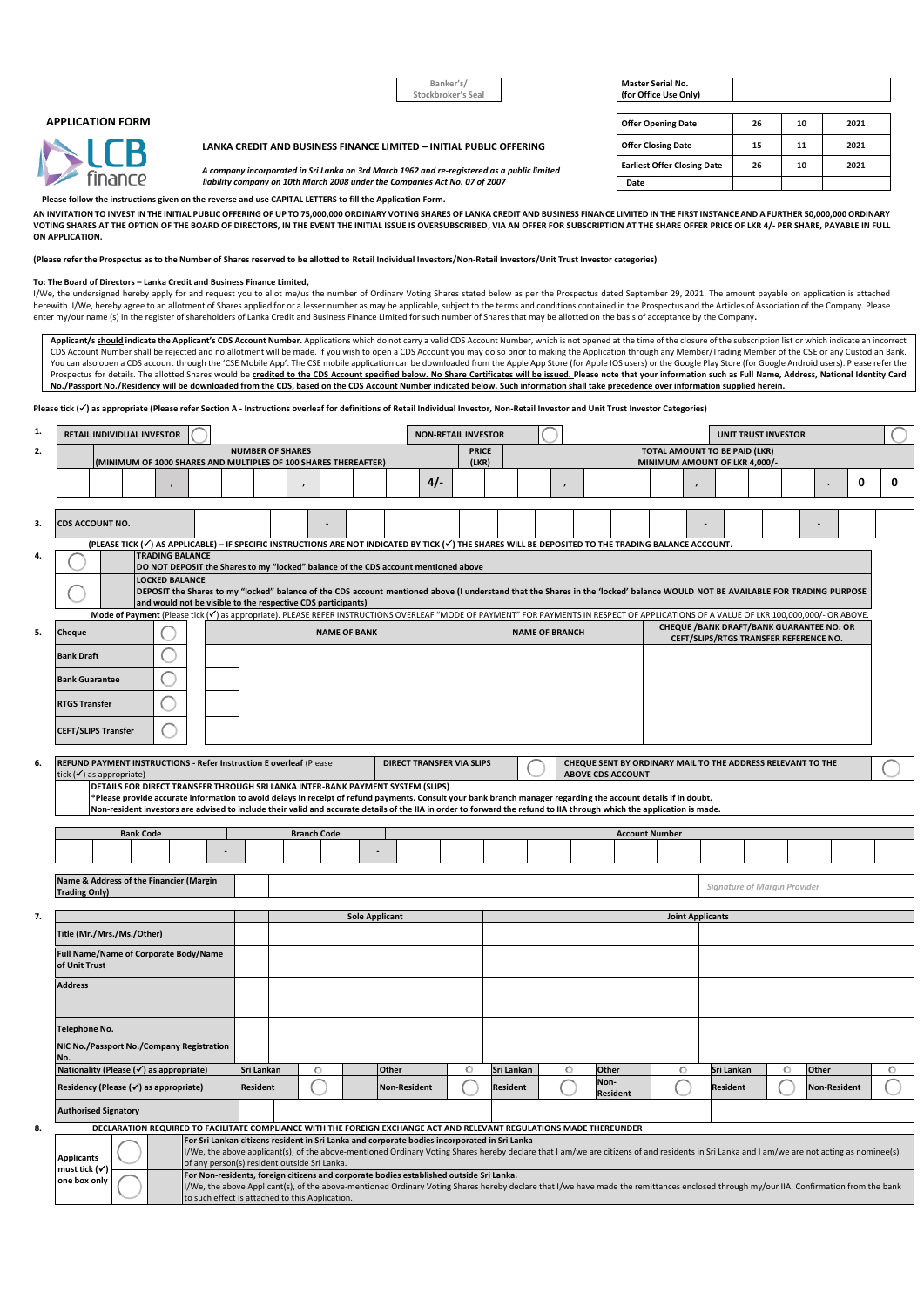|                         | Banker's/<br>Stockbroker's Seal                                                                                                                                            | <b>Master Serial No.</b><br>(for Office Use Only) |    |    |      |
|-------------------------|----------------------------------------------------------------------------------------------------------------------------------------------------------------------------|---------------------------------------------------|----|----|------|
| <b>APPLICATION FORM</b> |                                                                                                                                                                            | <b>Offer Opening Date</b>                         | 26 | 10 | 2021 |
| NICR                    | LANKA CREDIT AND BUSINESS FINANCE LIMITED - INITIAL PUBLIC OFFERING                                                                                                        | <b>Offer Closing Date</b>                         | 15 |    | 2021 |
|                         | A company incorporated in Sri Lanka on 3rd March 1962 and re-registered as a public limited<br>liability company on 10th March 2008 under the Companies Act No. 07 of 2007 | <b>Earliest Offer Closing Date</b>                | 26 | 10 | 2021 |
| finance:                |                                                                                                                                                                            | Date                                              |    |    |      |

**Please follow the instructions given on the reverse and use CAPITAL LETTERS to fill the Application Form.**

**AN INVITATION TO INVEST IN THE INITIAL PUBLIC OFFERING OF UP TO 75,000,000 ORDINARY VOTING SHARES OF LANKA CREDIT AND BUSINESS FINANCE LIMITED IN THE FIRST INSTANCE AND A FURTHER 50,000,000 ORDINARY**  VOTING SHARES AT THE OPTION OF THE BOARD OF DIRECTORS, IN THE EVENT THE INITIAL ISSUE IS OVERSUBSCRIBED, VIA AN OFFER FOR SUBSCRIPTION AT THE SHARE OFFER PRICE OF LKR 4/- PER SHARE, PAYABLE IN FULL **ON APPLICATION.**

**(Please refer the Prospectus as to the Number of Shares reserved to be allotted to Retail Individual Investors/Non-Retail Investors/Unit Trust Investor categories)**

#### **To: The Board of Directors – Lanka Credit and Business Finance Limited,**

I/We, the undersigned hereby apply for and request you to allot me/us the number of Ordinary Voting Shares stated below as per the Prospectus dated September 29, 2021. The amount payable on application is attached herewith. I/We, hereby agree to an allotment of Shares applied for or a lesser number as may be applicable, subject to the terms and conditions contained in the Prospectus and the Articles of Association of the Company. Pl enter my/our name (s) in the register of shareholders of Lanka Credit and Business Finance Limited for such number of Shares that may be allotted on the basis of acceptance by the Company**.**

Applicant/s should indicate the Applicant's CDS Account Number. Applications which do not carry a valid CDS Account Number, which is not opened at the time of the closure of the subscription list or which indicate an incor CDS Account Number shall be rejected and no allotment will be made. If you wish to open a CDS Account you may do so prior to making the Application through any Member/Trading Member of the CSE or any Custodian Bank. You can also open a CDS account through the 'CSE Mobile App'. The CSE mobile application can be downloaded from the Apple App Store (for Apple IOS users) or the Google Play Store (for Google Android users). Please refer th **No./Passport No./Residency will be downloaded from the CDS, based on the CDS Account Number indicated below. Such information shall take precedence over information supplied herein.**

Please tick ( $\checkmark$ ) as appropriate (Please refer Section A - Instructions overleaf for definitions of Retail Individual Investor, Non-Retail Investor and Unit Trust Investor Categories)

| <b>NUMBER OF SHARES</b><br>2.<br>(MINIMUM OF 1000 SHARES AND MULTIPLES OF 100 SHARES THEREAFTER)                                                                                                                                                                                                                                          |                                                                                                                             |                                      | <b>UNIT TRUST INVESTOR</b>                                                                |  |  |  |
|-------------------------------------------------------------------------------------------------------------------------------------------------------------------------------------------------------------------------------------------------------------------------------------------------------------------------------------------|-----------------------------------------------------------------------------------------------------------------------------|--------------------------------------|-------------------------------------------------------------------------------------------|--|--|--|
|                                                                                                                                                                                                                                                                                                                                           | <b>PRICE</b><br>(LKR)                                                                                                       | <b>TOTAL AMOUNT TO BE PAID (LKR)</b> |                                                                                           |  |  |  |
|                                                                                                                                                                                                                                                                                                                                           |                                                                                                                             |                                      | MINIMUM AMOUNT OF LKR 4,000/-                                                             |  |  |  |
|                                                                                                                                                                                                                                                                                                                                           | $4/-$                                                                                                                       |                                      | 0<br>0                                                                                    |  |  |  |
|                                                                                                                                                                                                                                                                                                                                           |                                                                                                                             |                                      |                                                                                           |  |  |  |
| CDS ACCOUNT NO.<br>3.                                                                                                                                                                                                                                                                                                                     |                                                                                                                             |                                      |                                                                                           |  |  |  |
| (PLEASE TICK (V) AS APPLICABLE) - IF SPECIFIC INSTRUCTIONS ARE NOT INDICATED BY TICK (V) THE SHARES WILL BE DEPOSITED TO THE TRADING BALANCE ACCOUNT.                                                                                                                                                                                     |                                                                                                                             |                                      |                                                                                           |  |  |  |
| <b>TRADING BALANCE</b><br>4.<br>DO NOT DEPOSIT the Shares to my "locked" balance of the CDS account mentioned above                                                                                                                                                                                                                       |                                                                                                                             |                                      |                                                                                           |  |  |  |
| <b>LOCKED BALANCE</b>                                                                                                                                                                                                                                                                                                                     |                                                                                                                             |                                      |                                                                                           |  |  |  |
| DEPOSIT the Shares to my "locked" balance of the CDS account mentioned above (I understand that the Shares in the 'locked' balance WOULD NOT BE AVAILABLE FOR TRADING PURPOSE<br>and would not be visible to the respective CDS participants)                                                                                             |                                                                                                                             |                                      |                                                                                           |  |  |  |
| Mode of Payment (Please tick (V) as appropriate). PLEASE REFER INSTRUCTIONS OVERLEAF "MODE OF PAYMENT" FOR PAYMENTS IN RESPECT OF APPLICATIONS OF A VALUE OF LKR 100,000,000/- OR ABOVE.                                                                                                                                                  |                                                                                                                             |                                      |                                                                                           |  |  |  |
| 5.<br><b>NAME OF BANK</b><br>Cheque                                                                                                                                                                                                                                                                                                       |                                                                                                                             | <b>NAME OF BRANCH</b>                | <b>CHEQUE /BANK DRAFT/BANK GUARANTEE NO. OR</b><br>CEFT/SLIPS/RTGS TRANSFER REFERENCE NO. |  |  |  |
| <b>Bank Draft</b>                                                                                                                                                                                                                                                                                                                         |                                                                                                                             |                                      |                                                                                           |  |  |  |
| <b>Bank Guarantee</b>                                                                                                                                                                                                                                                                                                                     |                                                                                                                             |                                      |                                                                                           |  |  |  |
|                                                                                                                                                                                                                                                                                                                                           |                                                                                                                             |                                      |                                                                                           |  |  |  |
| <b>RTGS Transfer</b>                                                                                                                                                                                                                                                                                                                      |                                                                                                                             |                                      |                                                                                           |  |  |  |
| <b>CEFT/SLIPS Transfer</b>                                                                                                                                                                                                                                                                                                                |                                                                                                                             |                                      |                                                                                           |  |  |  |
|                                                                                                                                                                                                                                                                                                                                           |                                                                                                                             |                                      |                                                                                           |  |  |  |
| REFUND PAYMENT INSTRUCTIONS - Refer Instruction E overleaf (Please<br>6.<br>tick $(\checkmark)$ as appropriate)                                                                                                                                                                                                                           | <b>DIRECT TRANSFER VIA SLIPS</b><br>CHEQUE SENT BY ORDINARY MAIL TO THE ADDRESS RELEVANT TO THE<br><b>ABOVE CDS ACCOUNT</b> |                                      |                                                                                           |  |  |  |
| DETAILS FOR DIRECT TRANSFER THROUGH SRI LANKA INTER-BANK PAYMENT SYSTEM (SLIPS)                                                                                                                                                                                                                                                           |                                                                                                                             |                                      |                                                                                           |  |  |  |
| *Please provide accurate information to avoid delays in receipt of refund payments. Consult your bank branch manager regarding the account details if in doubt.<br>Non-resident investors are advised to include their valid and accurate details of the IIA in order to forward the refund to IIA through which the application is made. |                                                                                                                             |                                      |                                                                                           |  |  |  |
| <b>Bank Code</b><br><b>Branch Code</b>                                                                                                                                                                                                                                                                                                    |                                                                                                                             | <b>Account Number</b>                |                                                                                           |  |  |  |
|                                                                                                                                                                                                                                                                                                                                           |                                                                                                                             |                                      |                                                                                           |  |  |  |
|                                                                                                                                                                                                                                                                                                                                           |                                                                                                                             |                                      |                                                                                           |  |  |  |
| Name & Address of the Financier (Margin<br>Signature of Margin Provider                                                                                                                                                                                                                                                                   |                                                                                                                             |                                      |                                                                                           |  |  |  |
|                                                                                                                                                                                                                                                                                                                                           |                                                                                                                             |                                      |                                                                                           |  |  |  |
| <b>Trading Only)</b>                                                                                                                                                                                                                                                                                                                      |                                                                                                                             | <b>Joint Applicants</b>              |                                                                                           |  |  |  |
| 7.<br><b>Sole Applicant</b>                                                                                                                                                                                                                                                                                                               |                                                                                                                             |                                      |                                                                                           |  |  |  |
| Title (Mr./Mrs./Ms./Other)                                                                                                                                                                                                                                                                                                                |                                                                                                                             |                                      |                                                                                           |  |  |  |
| Full Name/Name of Corporate Body/Name                                                                                                                                                                                                                                                                                                     |                                                                                                                             |                                      |                                                                                           |  |  |  |
| of Unit Trust                                                                                                                                                                                                                                                                                                                             |                                                                                                                             |                                      |                                                                                           |  |  |  |
| <b>Address</b>                                                                                                                                                                                                                                                                                                                            |                                                                                                                             |                                      |                                                                                           |  |  |  |
|                                                                                                                                                                                                                                                                                                                                           |                                                                                                                             |                                      |                                                                                           |  |  |  |
| <b>Telephone No.</b>                                                                                                                                                                                                                                                                                                                      |                                                                                                                             |                                      |                                                                                           |  |  |  |
| NIC No./Passport No./Company Registration                                                                                                                                                                                                                                                                                                 |                                                                                                                             |                                      |                                                                                           |  |  |  |
| Nationality (Please (√) as appropriate)<br>Sri Lankan<br>O                                                                                                                                                                                                                                                                                | Other<br>O<br>Sri Lankan                                                                                                    | Other<br>O<br>O                      | Sri Lankan<br>O<br>Other<br>O                                                             |  |  |  |
| Residency (Please (√) as appropriate)<br><b>Resident</b>                                                                                                                                                                                                                                                                                  | <b>Non-Resident</b><br><b>Resident</b>                                                                                      | Non-<br><b>Resident</b>              | <b>Resident</b><br><b>Non-Resident</b>                                                    |  |  |  |
| <b>Authorised Signatory</b>                                                                                                                                                                                                                                                                                                               |                                                                                                                             |                                      |                                                                                           |  |  |  |
| DECLARATION REQUIRED TO FACILITATE COMPLIANCE WITH THE FOREIGN EXCHANGE ACT AND RELEVANT REGULATIONS MADE THEREUNDER<br>8.                                                                                                                                                                                                                |                                                                                                                             |                                      |                                                                                           |  |  |  |
| For Sri Lankan citizens resident in Sri Lanka and corporate bodies incorporated in Sri Lanka<br>I/We, the above applicant(s), of the above-mentioned Ordinary Voting Shares hereby declare that I am/we are citizens of and residents in Sri Lanka and I am/we are not acting as nominee(s)                                               |                                                                                                                             |                                      |                                                                                           |  |  |  |
| <b>Applicants</b><br>of any person(s) resident outside Sri Lanka.<br>must tick (✔)<br>For Non-residents, foreign citizens and corporate bodies established outside Sri Lanka.<br>one box only                                                                                                                                             |                                                                                                                             |                                      |                                                                                           |  |  |  |